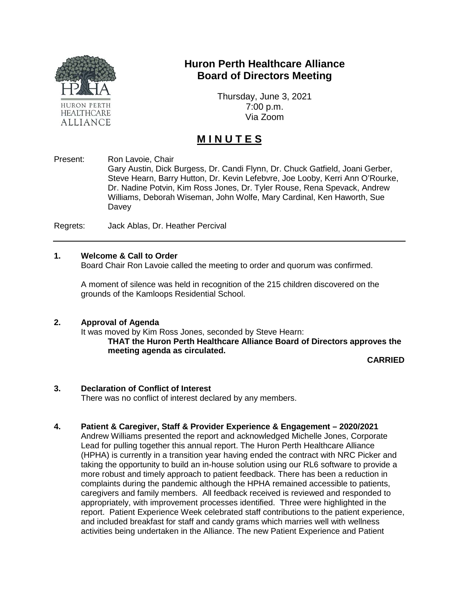

# **Huron Perth Healthcare Alliance Board of Directors Meeting**

Thursday, June 3, 2021 7:00 p.m. Via Zoom

# **M I N U T E S**

Present: Ron Lavoie, Chair

Gary Austin, Dick Burgess, Dr. Candi Flynn, Dr. Chuck Gatfield, Joani Gerber, Steve Hearn, Barry Hutton, Dr. Kevin Lefebvre, Joe Looby, Kerri Ann O'Rourke, Dr. Nadine Potvin, Kim Ross Jones, Dr. Tyler Rouse, Rena Spevack, Andrew Williams, Deborah Wiseman, John Wolfe, Mary Cardinal, Ken Haworth, Sue Davey

Regrets: Jack Ablas, Dr. Heather Percival

## **1. Welcome & Call to Order**

Board Chair Ron Lavoie called the meeting to order and quorum was confirmed.

A moment of silence was held in recognition of the 215 children discovered on the grounds of the Kamloops Residential School.

#### **2. Approval of Agenda**

It was moved by Kim Ross Jones, seconded by Steve Hearn: **THAT the Huron Perth Healthcare Alliance Board of Directors approves the meeting agenda as circulated.**

**CARRIED**

#### **3. Declaration of Conflict of Interest**

There was no conflict of interest declared by any members.

#### **4. Patient & Caregiver, Staff & Provider Experience & Engagement – 2020/2021**

Andrew Williams presented the report and acknowledged Michelle Jones, Corporate Lead for pulling together this annual report. The Huron Perth Healthcare Alliance (HPHA) is currently in a transition year having ended the contract with NRC Picker and taking the opportunity to build an in-house solution using our RL6 software to provide a more robust and timely approach to patient feedback. There has been a reduction in complaints during the pandemic although the HPHA remained accessible to patients, caregivers and family members. All feedback received is reviewed and responded to appropriately, with improvement processes identified. Three were highlighted in the report. Patient Experience Week celebrated staff contributions to the patient experience, and included breakfast for staff and candy grams which marries well with wellness activities being undertaken in the Alliance. The new Patient Experience and Patient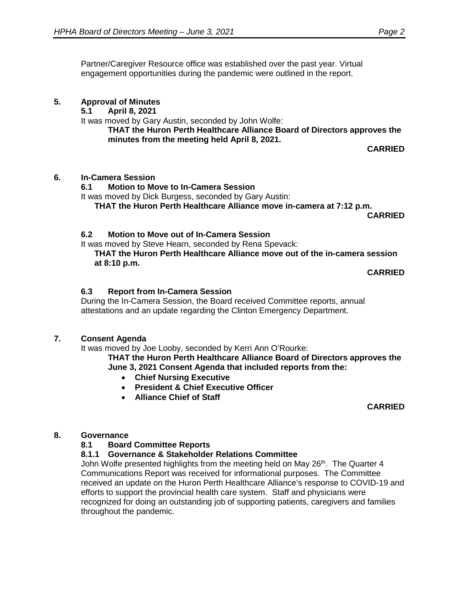Partner/Caregiver Resource office was established over the past year. Virtual engagement opportunities during the pandemic were outlined in the report.

# **5. Approval of Minutes**

**5.1 April 8, 2021**

It was moved by Gary Austin, seconded by John Wolfe:

**THAT the Huron Perth Healthcare Alliance Board of Directors approves the minutes from the meeting held April 8, 2021.**

**CARRIED**

# **6. In-Camera Session**

# **6.1 Motion to Move to In-Camera Session**

It was moved by Dick Burgess, seconded by Gary Austin:

**THAT the Huron Perth Healthcare Alliance move in-camera at 7:12 p.m.**

**CARRIED**

## **6.2 Motion to Move out of In-Camera Session**

It was moved by Steve Hearn, seconded by Rena Spevack:

**THAT the Huron Perth Healthcare Alliance move out of the in-camera session at 8:10 p.m.** 

**CARRIED**

# **6.3 Report from In-Camera Session**

During the In-Camera Session, the Board received Committee reports, annual attestations and an update regarding the Clinton Emergency Department.

## **7. Consent Agenda**

It was moved by Joe Looby, seconded by Kerri Ann O'Rourke:

**THAT the Huron Perth Healthcare Alliance Board of Directors approves the June 3, 2021 Consent Agenda that included reports from the:**

- **Chief Nursing Executive**
- **President & Chief Executive Officer**
- **Alliance Chief of Staff**

**CARRIED**

## **8. Governance**

# **8.1 Board Committee Reports**

# **8.1.1 Governance & Stakeholder Relations Committee**

John Wolfe presented highlights from the meeting held on May  $26<sup>th</sup>$ . The Quarter 4 Communications Report was received for informational purposes. The Committee received an update on the Huron Perth Healthcare Alliance's response to COVID-19 and efforts to support the provincial health care system. Staff and physicians were recognized for doing an outstanding job of supporting patients, caregivers and families throughout the pandemic.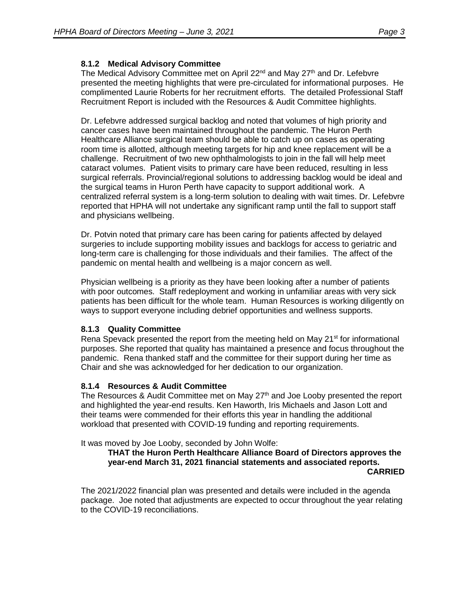# **8.1.2 Medical Advisory Committee**

The Medical Advisory Committee met on April 22<sup>nd</sup> and May 27<sup>th</sup> and Dr. Lefebvre presented the meeting highlights that were pre-circulated for informational purposes. He complimented Laurie Roberts for her recruitment efforts. The detailed Professional Staff Recruitment Report is included with the Resources & Audit Committee highlights.

Dr. Lefebvre addressed surgical backlog and noted that volumes of high priority and cancer cases have been maintained throughout the pandemic. The Huron Perth Healthcare Alliance surgical team should be able to catch up on cases as operating room time is allotted, although meeting targets for hip and knee replacement will be a challenge. Recruitment of two new ophthalmologists to join in the fall will help meet cataract volumes. Patient visits to primary care have been reduced, resulting in less surgical referrals. Provincial/regional solutions to addressing backlog would be ideal and the surgical teams in Huron Perth have capacity to support additional work. A centralized referral system is a long-term solution to dealing with wait times. Dr. Lefebvre reported that HPHA will not undertake any significant ramp until the fall to support staff and physicians wellbeing.

Dr. Potvin noted that primary care has been caring for patients affected by delayed surgeries to include supporting mobility issues and backlogs for access to geriatric and long-term care is challenging for those individuals and their families. The affect of the pandemic on mental health and wellbeing is a major concern as well.

Physician wellbeing is a priority as they have been looking after a number of patients with poor outcomes. Staff redeployment and working in unfamiliar areas with very sick patients has been difficult for the whole team. Human Resources is working diligently on ways to support everyone including debrief opportunities and wellness supports.

## **8.1.3 Quality Committee**

Rena Spevack presented the report from the meeting held on May 21<sup>st</sup> for informational purposes. She reported that quality has maintained a presence and focus throughout the pandemic. Rena thanked staff and the committee for their support during her time as Chair and she was acknowledged for her dedication to our organization.

## **8.1.4 Resources & Audit Committee**

The Resources & Audit Committee met on May  $27<sup>th</sup>$  and Joe Looby presented the report and highlighted the year-end results. Ken Haworth, Iris Michaels and Jason Lott and their teams were commended for their efforts this year in handling the additional workload that presented with COVID-19 funding and reporting requirements.

It was moved by Joe Looby, seconded by John Wolfe:

#### **THAT the Huron Perth Healthcare Alliance Board of Directors approves the year-end March 31, 2021 financial statements and associated reports. CARRIED**

The 2021/2022 financial plan was presented and details were included in the agenda package. Joe noted that adjustments are expected to occur throughout the year relating to the COVID-19 reconciliations.